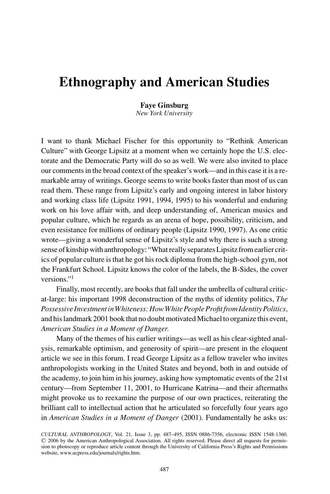## **Ethnography and American Studies**

**Faye Ginsburg**

*New York University*

I want to thank Michael Fischer for this opportunity to "Rethink American Culture" with George Lipsitz at a moment when we certainly hope the U.S. electorate and the Democratic Party will do so as well. We were also invited to place our comments in the broad context of the speaker's work—and in this case it is a remarkable array of writings. George seems to write books faster than most of us can read them. These range from Lipsitz's early and ongoing interest in labor history and working class life (Lipsitz 1991, 1994, 1995) to his wonderful and enduring work on his love affair with, and deep understanding of, American musics and popular culture, which he regards as an arena of hope, possibility, criticism, and even resistance for millions of ordinary people (Lipsitz 1990, 1997). As one critic wrote—giving a wonderful sense of Lipsitz's style and why there is such a strong sense of kinship with anthropology: "What really separates Lipsitz from earlier critics of popular culture is that he got his rock diploma from the high-school gym, not the Frankfurt School. Lipsitz knows the color of the labels, the B-Sides, the cover versions<sup>"1</sup>

Finally, most recently, are books that fall under the umbrella of cultural criticat-large: his important 1998 deconstruction of the myths of identity politics, *The Possessive Investment in Whiteness: How White People Profit from Identity Politics,* and his landmark 2001 book that no doubt motivated Michael to organize this event, *American Studies in a Moment of Danger.*

Many of the themes of his earlier writings—as well as his clear-sighted analysis, remarkable optimism, and generosity of spirit—are present in the eloquent article we see in this forum. I read George Lipsitz as a fellow traveler who invites anthropologists working in the United States and beyond, both in and outside of the academy, to join him in his journey, asking how symptomatic events of the 21st century—from September 11, 2001, to Hurricane Katrina—and their aftermaths might provoke us to reexamine the purpose of our own practices, reiterating the brilliant call to intellectual action that he articulated so forcefully four years ago in *American Studies in a Moment of Danger* (2001). Fundamentally he asks us:

*CULTURAL ANTHROPOLOGY*, Vol. 21, Issue 3, pp. 487–495, ISSN 0886-7356, electronic ISSN 1548-1360. -C 2006 by the American Anthropological Association. All rights reserved. Please direct all requests for permission to photocopy or reproduce article content through the University of California Press's Rights and Permissions website, www.ucpress.edu/journals/rights.htm.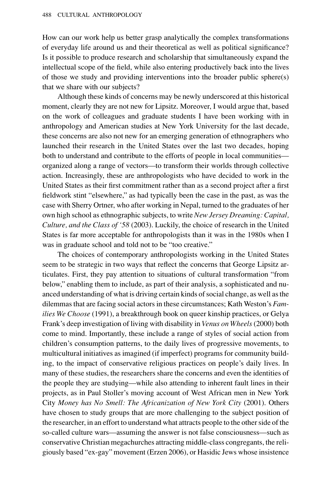How can our work help us better grasp analytically the complex transformations of everyday life around us and their theoretical as well as political significance? Is it possible to produce research and scholarship that simultaneously expand the intellectual scope of the field, while also entering productively back into the lives of those we study and providing interventions into the broader public sphere(s) that we share with our subjects?

Although these kinds of concerns may be newly underscored at this historical moment, clearly they are not new for Lipsitz. Moreover, I would argue that, based on the work of colleagues and graduate students I have been working with in anthropology and American studies at New York University for the last decade, these concerns are also not new for an emerging generation of ethnographers who launched their research in the United States over the last two decades, hoping both to understand and contribute to the efforts of people in local communities organized along a range of vectors—to transform their worlds through collective action. Increasingly, these are anthropologists who have decided to work in the United States as their first commitment rather than as a second project after a first fieldwork stint "elsewhere," as had typically been the case in the past, as was the case with Sherry Ortner, who after working in Nepal, turned to the graduates of her own high school as ethnographic subjects, to write *New Jersey Dreaming: Capital, Culture, and the Class of '58* (2003). Luckily, the choice of research in the United States is far more acceptable for anthropologists than it was in the 1980s when I was in graduate school and told not to be "too creative."

The choices of contemporary anthropologists working in the United States seem to be strategic in two ways that reflect the concerns that George Lipsitz articulates. First, they pay attention to situations of cultural transformation "from below," enabling them to include, as part of their analysis, a sophisticated and nuanced understanding of what is driving certain kinds of social change, as well as the dilemmas that are facing social actors in these circumstances; Kath Weston's *Families We Choose* (1991), a breakthrough book on queer kinship practices, or Gelya Frank's deep investigation of living with disability in *Venus on Wheels*(2000) both come to mind. Importantly, these include a range of styles of social action from children's consumption patterns, to the daily lives of progressive movements, to multicultural initiatives as imagined (if imperfect) programs for community building, to the impact of conservative religious practices on people's daily lives. In many of these studies, the researchers share the concerns and even the identities of the people they are studying—while also attending to inherent fault lines in their projects, as in Paul Stoller's moving account of West African men in New York City *Money has No Smell: The Africanization of New York City* (2001). Others have chosen to study groups that are more challenging to the subject position of the researcher, in an effort to understand what attracts people to the other side of the so-called culture wars—assuming the answer is not false consciousness—such as conservative Christian megachurches attracting middle-class congregants, the religiously based "ex-gay" movement (Erzen 2006), or Hasidic Jews whose insistence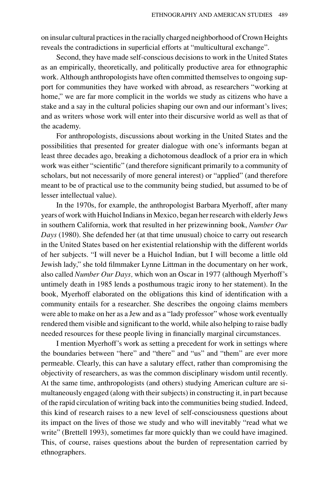on insular cultural practices in the racially charged neighborhood of Crown Heights reveals the contradictions in superficial efforts at "multicultural exchange".

Second, they have made self-conscious decisions to work in the United States as an empirically, theoretically, and politically productive area for ethnographic work. Although anthropologists have often committed themselves to ongoing support for communities they have worked with abroad, as researchers "working at home," we are far more complicit in the worlds we study as citizens who have a stake and a say in the cultural policies shaping our own and our informant's lives; and as writers whose work will enter into their discursive world as well as that of the academy.

For anthropologists, discussions about working in the United States and the possibilities that presented for greater dialogue with one's informants began at least three decades ago, breaking a dichotomous deadlock of a prior era in which work was either "scientific" (and therefore significant primarily to a community of scholars, but not necessarily of more general interest) or "applied" (and therefore meant to be of practical use to the community being studied, but assumed to be of lesser intellectual value).

In the 1970s, for example, the anthropologist Barbara Myerhoff, after many years of work with Huichol Indians in Mexico, began her research with elderly Jews in southern California, work that resulted in her prizewinning book, *Number Our Days* (1980). She defended her (at that time unusual) choice to carry out research in the United States based on her existential relationship with the different worlds of her subjects. "I will never be a Huichol Indian, but I will become a little old Jewish lady," she told filmmaker Lynne Littman in the documentary on her work, also called *Number Our Days,* which won an Oscar in 1977 (although Myerhoff's untimely death in 1985 lends a posthumous tragic irony to her statement). In the book, Myerhoff elaborated on the obligations this kind of identification with a community entails for a researcher. She describes the ongoing claims members were able to make on her as a Jew and as a "lady professor" whose work eventually rendered them visible and significant to the world, while also helping to raise badly needed resources for these people living in financially marginal circumstances.

I mention Myerhoff's work as setting a precedent for work in settings where the boundaries between "here" and "there" and "us" and "them" are ever more permeable. Clearly, this can have a salutary effect, rather than compromising the objectivity of researchers, as was the common disciplinary wisdom until recently. At the same time, anthropologists (and others) studying American culture are simultaneously engaged (along with their subjects) in constructing it, in part because of the rapid circulation of writing back into the communities being studied. Indeed, this kind of research raises to a new level of self-consciousness questions about its impact on the lives of those we study and who will inevitably "read what we write" (Brettell 1993), sometimes far more quickly than we could have imagined. This, of course, raises questions about the burden of representation carried by ethnographers.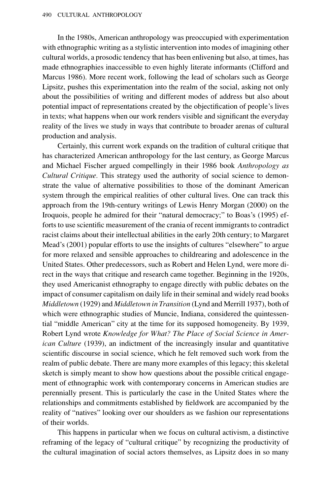In the 1980s, American anthropology was preoccupied with experimentation with ethnographic writing as a stylistic intervention into modes of imagining other cultural worlds, a prosodic tendency that has been enlivening but also, at times, has made ethnographies inaccessible to even highly literate informants (Clifford and Marcus 1986). More recent work, following the lead of scholars such as George Lipsitz, pushes this experimentation into the realm of the social, asking not only about the possibilities of writing and different modes of address but also about potential impact of representations created by the objectification of people's lives in texts; what happens when our work renders visible and significant the everyday reality of the lives we study in ways that contribute to broader arenas of cultural production and analysis.

Certainly, this current work expands on the tradition of cultural critique that has characterized American anthropology for the last century, as George Marcus and Michael Fischer argued compellingly in their 1986 book *Anthropology as Cultural Critique.* This strategy used the authority of social science to demonstrate the value of alternative possibilities to those of the dominant American system through the empirical realities of other cultural lives. One can track this approach from the 19th-century writings of Lewis Henry Morgan (2000) on the Iroquois, people he admired for their "natural democracy;" to Boas's (1995) efforts to use scientific measurement of the crania of recent immigrants to contradict racist claims about their intellectual abilities in the early 20th century; to Margaret Mead's (2001) popular efforts to use the insights of cultures "elsewhere" to argue for more relaxed and sensible approaches to childrearing and adolescence in the United States. Other predecessors, such as Robert and Helen Lynd, were more direct in the ways that critique and research came together. Beginning in the 1920s, they used Americanist ethnography to engage directly with public debates on the impact of consumer capitalism on daily life in their seminal and widely read books *Middletown* (1929) and *Middletown in Transition* (Lynd and Merrill 1937), both of which were ethnographic studies of Muncie, Indiana, considered the quintessential "middle American" city at the time for its supposed homogeneity. By 1939, Robert Lynd wrote *Knowledge for What? The Place of Social Science in American Culture* (1939), an indictment of the increasingly insular and quantitative scientific discourse in social science, which he felt removed such work from the realm of public debate. There are many more examples of this legacy; this skeletal sketch is simply meant to show how questions about the possible critical engagement of ethnographic work with contemporary concerns in American studies are perennially present. This is particularly the case in the United States where the relationships and commitments established by fieldwork are accompanied by the reality of "natives" looking over our shoulders as we fashion our representations of their worlds.

This happens in particular when we focus on cultural activism, a distinctive reframing of the legacy of "cultural critique" by recognizing the productivity of the cultural imagination of social actors themselves, as Lipsitz does in so many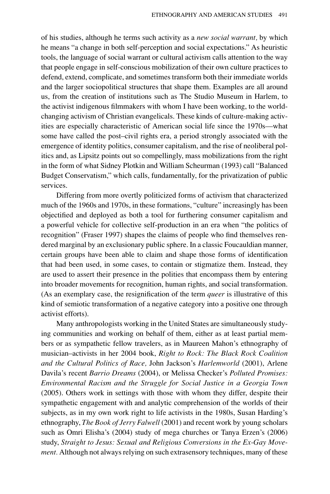of his studies, although he terms such activity as a *new social warrant,* by which he means "a change in both self-perception and social expectations." As heuristic tools, the language of social warrant or cultural activism calls attention to the way that people engage in self-conscious mobilization of their own culture practices to defend, extend, complicate, and sometimes transform both their immediate worlds and the larger sociopolitical structures that shape them. Examples are all around us, from the creation of institutions such as The Studio Museum in Harlem, to the activist indigenous filmmakers with whom I have been working, to the worldchanging activism of Christian evangelicals. These kinds of culture-making activities are especially characteristic of American social life since the 1970s—what some have called the post–civil rights era, a period strongly associated with the emergence of identity politics, consumer capitalism, and the rise of neoliberal politics and, as Lipsitz points out so compellingly, mass mobilizations from the right in the form of what Sidney Plotkin and William Scheurman (1993) call "Balanced Budget Conservatism," which calls, fundamentally, for the privatization of public services.

Differing from more overtly politicized forms of activism that characterized much of the 1960s and 1970s, in these formations, "culture" increasingly has been objectified and deployed as both a tool for furthering consumer capitalism and a powerful vehicle for collective self-production in an era when "the politics of recognition" (Fraser 1997) shapes the claims of people who find themselves rendered marginal by an exclusionary public sphere. In a classic Foucauldian manner, certain groups have been able to claim and shape those forms of identification that had been used, in some cases, to contain or stigmatize them. Instead, they are used to assert their presence in the polities that encompass them by entering into broader movements for recognition, human rights, and social transformation. (As an exemplary case, the resignification of the term *queer* is illustrative of this kind of semiotic transformation of a negative category into a positive one through activist efforts).

Many anthropologists working in the United States are simultaneously studying communities and working on behalf of them, either as at least partial members or as sympathetic fellow travelers, as in Maureen Mahon's ethnography of musician–activists in her 2004 book, *Right to Rock: The Black Rock Coalition and the Cultural Politics of Race,* John Jackson's *Harlemworld* (2001), Arlene Davila's recent *Barrio Dreams* (2004), or Melissa Checker's *Polluted Promises: Environmental Racism and the Struggle for Social Justice in a Georgia Town* (2005). Others work in settings with those with whom they differ, despite their sympathetic engagement with and analytic comprehension of the worlds of their subjects, as in my own work right to life activists in the 1980s, Susan Harding's ethnography, *The Book of Jerry Falwell* (2001) and recent work by young scholars such as Omri Elisha's (2004) study of mega churches or Tanya Erzen's (2006) study, *Straight to Jesus: Sexual and Religious Conversions in the Ex-Gay Movement.* Although not always relying on such extrasensory techniques, many of these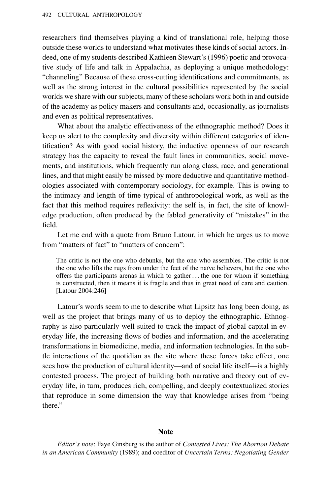researchers find themselves playing a kind of translational role, helping those outside these worlds to understand what motivates these kinds of social actors. Indeed, one of my students described Kathleen Stewart's (1996) poetic and provocative study of life and talk in Appalachia, as deploying a unique methodology: "channeling" Because of these cross-cutting identifications and commitments, as well as the strong interest in the cultural possibilities represented by the social worlds we share with our subjects, many of these scholars work both in and outside of the academy as policy makers and consultants and, occasionally, as journalists and even as political representatives.

What about the analytic effectiveness of the ethnographic method? Does it keep us alert to the complexity and diversity within different categories of identification? As with good social history, the inductive openness of our research strategy has the capacity to reveal the fault lines in communities, social movements, and institutions, which frequently run along class, race, and generational lines, and that might easily be missed by more deductive and quantitative methodologies associated with contemporary sociology, for example. This is owing to the intimacy and length of time typical of anthropological work, as well as the fact that this method requires reflexivity: the self is, in fact, the site of knowledge production, often produced by the fabled generativity of "mistakes" in the field.

Let me end with a quote from Bruno Latour, in which he urges us to move from "matters of fact" to "matters of concern":

The critic is not the one who debunks, but the one who assembles. The critic is not the one who lifts the rugs from under the feet of the naïve believers, but the one who offers the participants arenas in which to gather. . . the one for whom if something is constructed, then it means it is fragile and thus in great need of care and caution. [Latour 2004:246]

Latour's words seem to me to describe what Lipsitz has long been doing, as well as the project that brings many of us to deploy the ethnographic. Ethnography is also particularly well suited to track the impact of global capital in everyday life, the increasing flows of bodies and information, and the accelerating transformations in biomedicine, media, and information technologies. In the subtle interactions of the quotidian as the site where these forces take effect, one sees how the production of cultural identity—and of social life itself—is a highly contested process. The project of building both narrative and theory out of everyday life, in turn, produces rich, compelling, and deeply contextualized stories that reproduce in some dimension the way that knowledge arises from "being there."

## **Note**

*Editor's note*: Faye Ginsburg is the author of *Contested Lives: The Abortion Debate in an American Community* (1989); and coeditor of *Uncertain Terms: Negotiating Gender*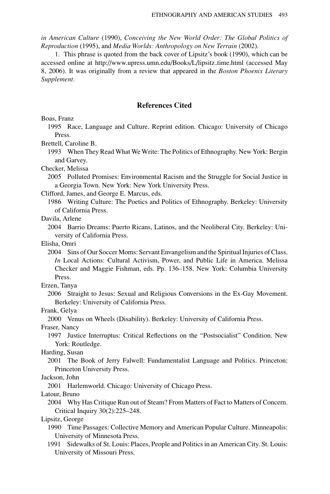*in American Culture* (1990), *Conceiving the New World Order: The Global Politics of Reproduction* (1995), and *Media Worlds: Anthropology on New Terrain* (2002).

1. This phrase is quoted from the back cover of Lipsitz's book (1990), which can be accessed online at http://www.upress.umn.edu/Books/L/lipsitz time.html (accessed May 8, 2006). It was originally from a review that appeared in the *Boston Phoenix Literary Supplement.*

## **References Cited**

Boas, Franz

1995 Race, Language and Culture. Reprint edition. Chicago: University of Chicago Press.

Brettell, Caroline B.

1993 When They Read What We Write: The Politics of Ethnography. New York: Bergin and Garvey.

Checker, Melissa

2005 Polluted Promises: Environmental Racism and the Struggle for Social Justice in a Georgia Town. New York: New York University Press.

Clifford, James, and George E. Marcus, eds.

1986 Writing Culture: The Poetics and Politics of Ethnography. Berkeley: University of California Press.

Davila, Arlene

2004 Barrio Dreams: Puerto Ricans, Latinos, and the Neoliberal City. Berkeley: University of California Press.

Elisha, Omri

2004 Sins of Our Soccer Moms: Servant Envangelism and the Spiritual Injuries of Class. *In* Local Actions: Cultural Activism, Power, and Public Life in America. Melissa Checker and Maggie Fishman, eds. Pp. 136–158. New York: Columbia University Press.

Erzen, Tanya

2006 Straight to Jesus: Sexual and Religious Conversions in the Ex-Gay Movement. Berkeley: University of California Press.

Frank, Gelya

2000 Venus on Wheels (Disability). Berkeley: University of California Press.

Fraser, Nancy

1997 Justice Interruptus: Critical Reflections on the "Postsocialist" Condition. New York: Routledge.

Harding, Susan

2001 The Book of Jerry Falwell: Fundamentalist Language and Politics. Princeton: Princeton University Press.

Jackson, John

2001 Harlemworld. Chicago: University of Chicago Press.

Latour, Bruno

2004 Why Has Critique Run out of Steam? From Matters of Fact to Matters of Concern. Critical Inquiry 30(2):225–248.

Lipsitz, George

1990 Time Passages: Collective Memory and American Popular Culture. Minneapolis: University of Minnesota Press.

1991 Sidewalks of St. Louis: Places, People and Politics in an American City. St. Louis: University of Missouri Press.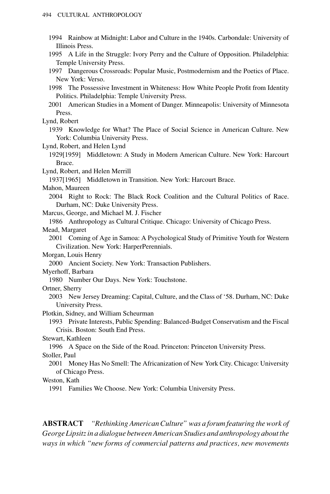|                          | 1994 Rainbow at Midnight: Labor and Culture in the 1940s. Carbondale: University of   |
|--------------------------|---------------------------------------------------------------------------------------|
| Illinois Press.          |                                                                                       |
|                          | 1995 A Life in the Struggle: Ivory Perry and the Culture of Opposition. Philadelphia: |
| Temple University Press. |                                                                                       |
| 1997                     | Dangerous Crossroads: Popular Music, Postmodernism and the Poetics of Place.          |
| New York: Verso.         |                                                                                       |
|                          |                                                                                       |

- 1998 The Possessive Investment in Whiteness: How White People Profit from Identity Politics. Philadelphia: Temple University Press.
- 2001 American Studies in a Moment of Danger. Minneapolis: University of Minnesota Press.
- Lynd, Robert
	- 1939 Knowledge for What? The Place of Social Science in American Culture. New York: Columbia University Press.
- Lynd, Robert, and Helen Lynd
	- 1929[1959] Middletown: A Study in Modern American Culture. New York: Harcourt Brace.
- Lynd, Robert, and Helen Merrill

1937[1965] Middletown in Transition. New York: Harcourt Brace.

Mahon, Maureen

2004 Right to Rock: The Black Rock Coalition and the Cultural Politics of Race. Durham, NC: Duke University Press.

Marcus, George, and Michael M. J. Fischer

1986 Anthropology as Cultural Critique. Chicago: University of Chicago Press.

Mead, Margaret

2001 Coming of Age in Samoa: A Psychological Study of Primitive Youth for Western Civilization. New York: HarperPerennials.

Morgan, Louis Henry

2000 Ancient Society. New York: Transaction Publishers.

Myerhoff, Barbara

1980 Number Our Days. New York: Touchstone.

- Ortner, Sherry
	- 2003 New Jersey Dreaming: Capital, Culture, and the Class of '58. Durham, NC: Duke University Press.

Plotkin, Sidney, and William Scheurman

1993 Private Interests, Public Spending: Balanced-Budget Conservatism and the Fiscal Crisis. Boston: South End Press.

Stewart, Kathleen

1996 A Space on the Side of the Road. Princeton: Princeton University Press.

Stoller, Paul

2001 Money Has No Smell: The Africanization of New York City. Chicago: University of Chicago Press.

Weston, Kath

**ABSTRACT** *"Rethinking American Culture" was a forum featuring the work of George Lipsitz in a dialogue between American Studies and anthropology about the ways in which "new forms of commercial patterns and practices, new movements*

<sup>1991</sup> Families We Choose. New York: Columbia University Press.